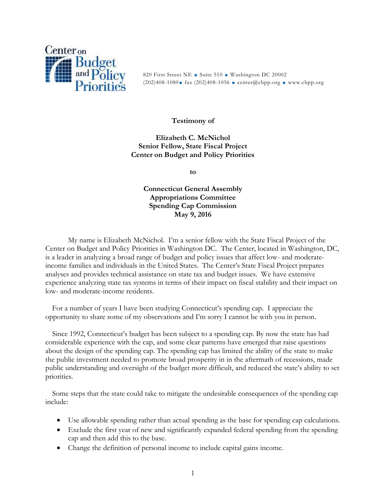

820 First Street NE Suite 510 Washington DC 20002  $(202)408-1080$  fax  $(202)408-1056$  = center@cbpp.org = www.cbpp.org

## **Testimony of**

**Elizabeth C. McNichol Senior Fellow, State Fiscal Project Center on Budget and Policy Priorities**

**to**

**Connecticut General Assembly Appropriations Committee Spending Cap Commission May 9, 2016**

My name is Elizabeth McNichol. I'm a senior fellow with the State Fiscal Project of the Center on Budget and Policy Priorities in Washington DC. The Center, located in Washington, DC, is a leader in analyzing a broad range of budget and policy issues that affect low- and moderateincome families and individuals in the United States. The Center's State Fiscal Project prepares analyses and provides technical assistance on state tax and budget issues. We have extensive experience analyzing state tax systems in terms of their impact on fiscal stability and their impact on low- and moderate-income residents.

For a number of years I have been studying Connecticut's spending cap. I appreciate the opportunity to share some of my observations and I'm sorry I cannot be with you in person.

Since 1992, Connecticut's budget has been subject to a spending cap. By now the state has had considerable experience with the cap, and some clear patterns have emerged that raise questions about the design of the spending cap. The spending cap has limited the ability of the state to make the public investment needed to promote broad prosperity in in the aftermath of recessions, made public understanding and oversight of the budget more difficult, and reduced the state's ability to set priorities.

Some steps that the state could take to mitigate the undesirable consequences of the spending cap include:

- Use allowable spending rather than actual spending as the base for spending cap calculations.
- Exclude the first year of new and significantly expanded federal spending from the spending cap and then add this to the base.
- Change the definition of personal income to include capital gains income.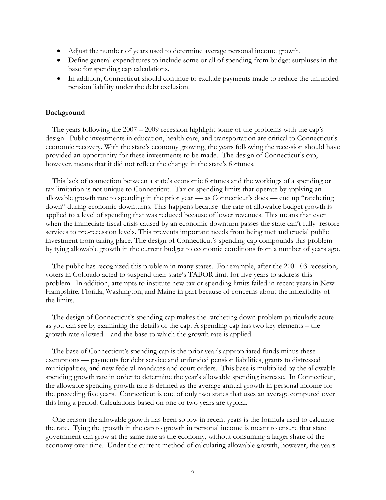- Adjust the number of years used to determine average personal income growth.
- Define general expenditures to include some or all of spending from budget surpluses in the base for spending cap calculations.
- In addition, Connecticut should continue to exclude payments made to reduce the unfunded pension liability under the debt exclusion.

#### **Background**

The years following the 2007 – 2009 recession highlight some of the problems with the cap's design. Public investments in education, health care, and transportation are critical to Connecticut's economic recovery. With the state's economy growing, the years following the recession should have provided an opportunity for these investments to be made. The design of Connecticut's cap, however, means that it did not reflect the change in the state's fortunes.

This lack of connection between a state's economic fortunes and the workings of a spending or tax limitation is not unique to Connecticut. Tax or spending limits that operate by applying an allowable growth rate to spending in the prior year — as Connecticut's does — end up "ratcheting down" during economic downturns. This happens because the rate of allowable budget growth is applied to a level of spending that was reduced because of lower revenues. This means that even when the immediate fiscal crisis caused by an economic downturn passes the state can't fully restore services to pre-recession levels. This prevents important needs from being met and crucial public investment from taking place. The design of Connecticut's spending cap compounds this problem by tying allowable growth in the current budget to economic conditions from a number of years ago.

The public has recognized this problem in many states. For example, after the 2001-03 recession, voters in Colorado acted to suspend their state's TABOR limit for five years to address this problem. In addition, attempts to institute new tax or spending limits failed in recent years in New Hampshire, Florida, Washington, and Maine in part because of concerns about the inflexibility of the limits.

The design of Connecticut's spending cap makes the ratcheting down problem particularly acute as you can see by examining the details of the cap. A spending cap has two key elements – the growth rate allowed – and the base to which the growth rate is applied.

The base of Connecticut's spending cap is the prior year's appropriated funds minus these exemptions — payments for debt service and unfunded pension liabilities, grants to distressed municipalities, and new federal mandates and court orders. This base is multiplied by the allowable spending growth rate in order to determine the year's allowable spending increase. In Connecticut, the allowable spending growth rate is defined as the average annual growth in personal income for the preceding five years. Connecticut is one of only two states that uses an average computed over this long a period. Calculations based on one or two years are typical.

One reason the allowable growth has been so low in recent years is the formula used to calculate the rate. Tying the growth in the cap to growth in personal income is meant to ensure that state government can grow at the same rate as the economy, without consuming a larger share of the economy over time. Under the current method of calculating allowable growth, however, the years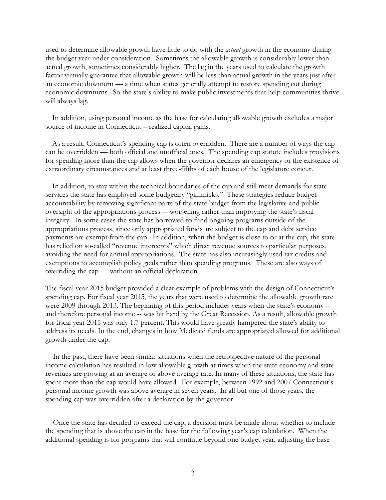used to determine allowable growth have little to do with the *actual* growth in the economy during the budget year under consideration. Sometimes the allowable growth is considerably lower than actual growth, sometimes considerably higher. The lag in the years used to calculate the growth factor virtually guarantee that allowable growth will be less than actual growth in the years just after an economic downturn — a time when states generally attempt to restore spending cut during economic downturns. So the state's ability to make public investments that help communities thrive will always lag.

In addition, using personal income as the base for calculating allowable growth excludes a major source of income in Connecticut – realized capital gains.

As a result, Connecticut's spending cap is often overridden. There are a number of ways the cap can be overridden — both official and unofficial ones. The spending cap statute includes provisions for spending more than the cap allows when the governor declares an emergency or the existence of extraordinary circumstances and at least three-fifths of each house of the legislature concur.

In addition, to stay within the technical boundaries of the cap and still meet demands for state services the state has employed some budgetary "gimmicks." These strategies reduce budget accountability by removing significant parts of the state budget from the legislative and public oversight of the appropriations process —worsening rather than improving the state's fiscal integrity. In some cases the state has borrowed to fund ongoing programs outside of the appropriations process, since only appropriated funds are subject to the cap and debt service payments are exempt from the cap. In addition, when the budget is close to or at the cap, the state has relied on so-called "revenue intercepts" which direct revenue sources to particular purposes, avoiding the need for annual appropriations. The state has also increasingly used tax credits and exemptions to accomplish policy goals rather than spending programs. These are also ways of overriding the cap — without an official declaration.

The fiscal year 2015 budget provided a clear example of problems with the design of Connecticut's spending cap. For fiscal year 2015, the years that were used to determine the allowable growth rate were 2009 through 2013. The beginning of this period includes years when the state's economy – and therefore personal income -- was hit hard by the Great Recession. As a result, allowable growth for fiscal year 2015 was only 1.7 percent. This would have greatly hampered the state's ability to address its needs. In the end, changes in how Medicaid funds are appropriated allowed for additional growth under the cap.

In the past, there have been similar situations when the retrospective nature of the personal income calculation has resulted in low allowable growth at times when the state economy and state revenues are growing at an average or above average rate. In many of these situations, the state has spent more than the cap would have allowed. For example, between 1992 and 2007 Connecticut's personal income growth was above average in seven years. In all but one of those years, the spending cap was overridden after a declaration by the governor.

Once the state has decided to exceed the cap, a decision must be made about whether to include the spending that is above the cap in the base for the following year's cap calculation. When the additional spending is for programs that will continue beyond one budget year, adjusting the base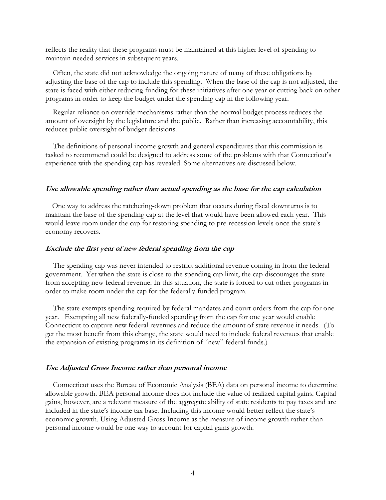reflects the reality that these programs must be maintained at this higher level of spending to maintain needed services in subsequent years.

Often, the state did not acknowledge the ongoing nature of many of these obligations by adjusting the base of the cap to include this spending. When the base of the cap is not adjusted, the state is faced with either reducing funding for these initiatives after one year or cutting back on other programs in order to keep the budget under the spending cap in the following year.

Regular reliance on override mechanisms rather than the normal budget process reduces the amount of oversight by the legislature and the public. Rather than increasing accountability, this reduces public oversight of budget decisions.

The definitions of personal income growth and general expenditures that this commission is tasked to recommend could be designed to address some of the problems with that Connecticut's experience with the spending cap has revealed. Some alternatives are discussed below.

## **Use allowable spending rather than actual spending as the base for the cap calculation**

One way to address the ratcheting-down problem that occurs during fiscal downturns is to maintain the base of the spending cap at the level that would have been allowed each year. This would leave room under the cap for restoring spending to pre-recession levels once the state's economy recovers.

#### **Exclude the first year of new federal spending from the cap**

The spending cap was never intended to restrict additional revenue coming in from the federal government. Yet when the state is close to the spending cap limit, the cap discourages the state from accepting new federal revenue. In this situation, the state is forced to cut other programs in order to make room under the cap for the federally-funded program.

The state exempts spending required by federal mandates and court orders from the cap for one year. Exempting all new federally-funded spending from the cap for one year would enable Connecticut to capture new federal revenues and reduce the amount of state revenue it needs. (To get the most benefit from this change, the state would need to include federal revenues that enable the expansion of existing programs in its definition of "new" federal funds.)

## **Use Adjusted Gross Income rather than personal income**

Connecticut uses the Bureau of Economic Analysis (BEA) data on personal income to determine allowable growth. BEA personal income does not include the value of realized capital gains. Capital gains, however, are a relevant measure of the aggregate ability of state residents to pay taxes and are included in the state's income tax base. Including this income would better reflect the state's economic growth. Using Adjusted Gross Income as the measure of income growth rather than personal income would be one way to account for capital gains growth.